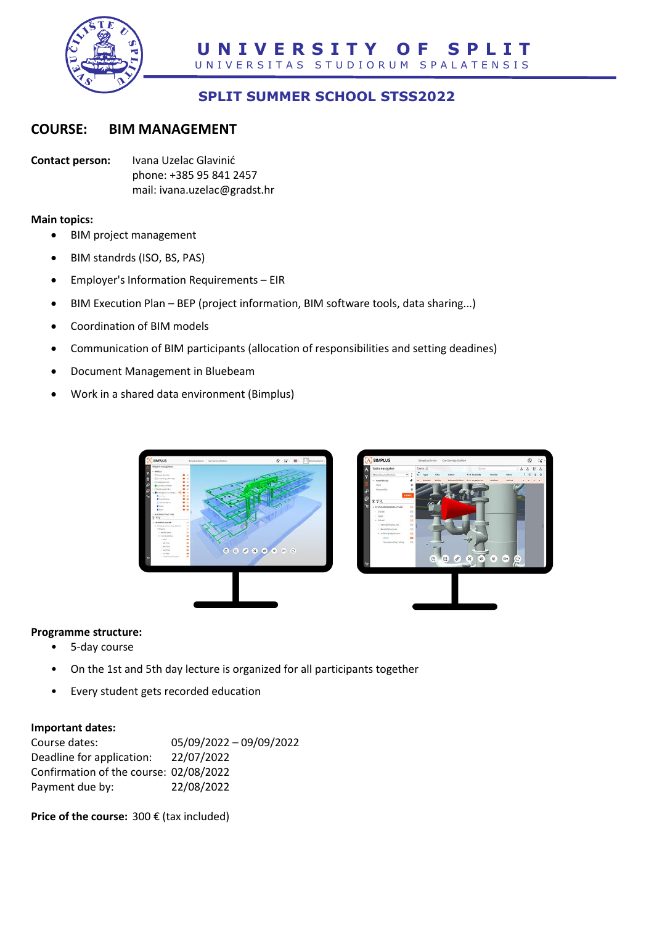

# **SPLIT SUMMER SCHOOL STSS2022**

# **COURSE: BIM MANAGEMENT**

**Contact person:** Ivana Uzelac Glavinić phone: +385 95 841 2457 mail: ivana.uzelac@gradst.hr

**Main topics:**

- BIM project management
- BIM standrds (ISO, BS, PAS)
- Employer's Information Requirements EIR
- BIM Execution Plan BEP (project information, BIM software tools, data sharing...)
- Coordination of BIM models
- Communication of BIM participants (allocation of responsibilities and setting deadines)
- Document Management in Bluebeam
- Work in a shared data environment (Bimplus)



#### **Programme structure:**

- 5-day course
- On the 1st and 5th day lecture is organized for all participants together
- Every student gets recorded education

#### **Important dates:**

| Course dates:                          | 05/09/2022 - 09/09/2022 |
|----------------------------------------|-------------------------|
| Deadline for application:              | 22/07/2022              |
| Confirmation of the course: 02/08/2022 |                         |
| Payment due by:                        | 22/08/2022              |

**Price of the course:** 300 € (tax included)